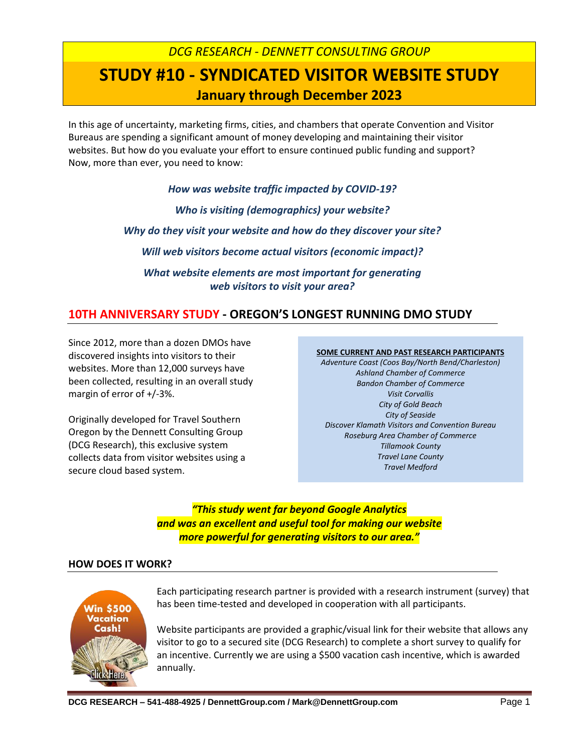# *DCG RESEARCH - DENNETT CONSULTING GROUP* **STUDY #10 - SYNDICATED VISITOR WEBSITE STUDY January through December 2023**

In this age of uncertainty, marketing firms, cities, and chambers that operate Convention and Visitor Bureaus are spending a significant amount of money developing and maintaining their visitor websites. But how do you evaluate your effort to ensure continued public funding and support? Now, more than ever, you need to know:

> *How was website traffic impacted by COVID-19? Who is visiting (demographics) your website? Why do they visit your website and how do they discover your site? Will web visitors become actual visitors (economic impact)? What website elements are most important for generating web visitors to visit your area?*

# **10TH ANNIVERSARY STUDY - OREGON'S LONGEST RUNNING DMO STUDY**

Since 2012, more than a dozen DMOs have discovered insights into visitors to their websites. More than 12,000 surveys have been collected, resulting in an overall study margin of error of +/-3%.

Originally developed for Travel Southern Oregon by the Dennett Consulting Group (DCG Research), this exclusive system collects data from visitor websites using a secure cloud based system.

#### **SOME CURRENT AND PAST RESEARCH PARTICIPANTS**

*Adventure Coast (Coos Bay/North Bend/Charleston) Ashland Chamber of Commerce Bandon Chamber of Commerce Visit Corvallis City of Gold Beach City of Seaside Discover Klamath Visitors and Convention Bureau Roseburg Area Chamber of Commerce Tillamook County Travel Lane County Travel Medford*

# *"This study went far beyond Google Analytics and was an excellent and useful tool for making our website more powerful for generating visitors to our area."*

## **HOW DOES IT WORK?**



Each participating research partner is provided with a research instrument (survey) that has been time-tested and developed in cooperation with all participants.

Website participants are provided a graphic/visual link for their website that allows any visitor to go to a secured site (DCG Research) to complete a short survey to qualify for an incentive. Currently we are using a \$500 vacation cash incentive, which is awarded annually.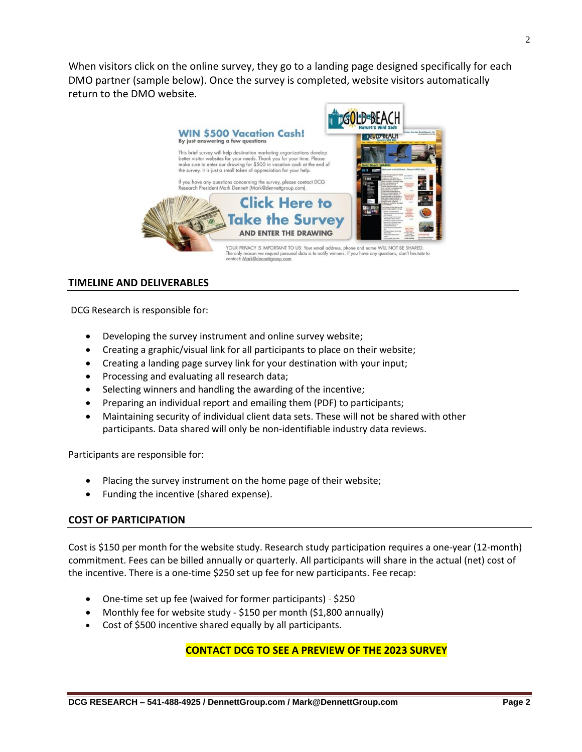When visitors click on the online survey, they go to a landing page designed specifically for each DMO partner (sample below). Once the survey is completed, website visitors automatically return to the DMO website.



### **TIMELINE AND DELIVERABLES**

DCG Research is responsible for:

- Developing the survey instrument and online survey website;
- Creating a graphic/visual link for all participants to place on their website;
- Creating a landing page survey link for your destination with your input;
- Processing and evaluating all research data;
- Selecting winners and handling the awarding of the incentive;
- Preparing an individual report and emailing them (PDF) to participants;
- Maintaining security of individual client data sets. These will not be shared with other participants. Data shared will only be non-identifiable industry data reviews.

Participants are responsible for:

- Placing the survey instrument on the home page of their website;
- Funding the incentive (shared expense).

#### **COST OF PARTICIPATION**

Cost is \$150 per month for the website study. Research study participation requires a one-year (12-month) commitment. Fees can be billed annually or quarterly. All participants will share in the actual (net) cost of the incentive. There is a one-time \$250 set up fee for new participants. Fee recap:

- One-time set up fee (waived for former participants) \$250
- Monthly fee for website study \$150 per month (\$1,800 annually)
- Cost of \$500 incentive shared equally by all participants.

### **CONTACT DCG TO SEE A PREVIEW OF THE 2023 SURVEY**